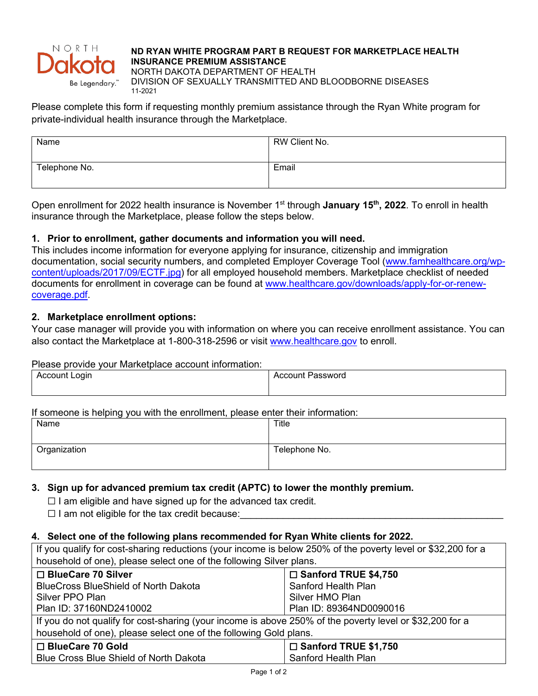

### **ND RYAN WHITE PROGRAM PART B REQUEST FOR MARKETPLACE HEALTH INSURANCE PREMIUM ASSISTANCE**

NORTH DAKOTA DEPARTMENT OF HEALTH DIVISION OF SEXUALLY TRANSMITTED AND BLOODBORNE DISEASES 11-2021

Please complete this form if requesting monthly premium assistance through the Ryan White program for private-individual health insurance through the Marketplace.

| Name          | RW Client No. |
|---------------|---------------|
|               |               |
| Telephone No. | Email         |
|               |               |

Open enrollment for 2022 health insurance is November 1<sup>st</sup> through **January 15<sup>th</sup>, 2022**. To enroll in health insurance through the Marketplace, please follow the steps below.

# **1. Prior to enrollment, gather documents and information you will need.**

This includes income information for everyone applying for insurance, citizenship and immigration documentation, social security numbers, and completed Employer Coverage Tool [\(www.famhealthcare.org/wp](http://www.famhealthcare.org/wp-content/uploads/2017/09/ECTF.jpg)[content/uploads/2017/09/ECTF.jpg\)](http://www.famhealthcare.org/wp-content/uploads/2017/09/ECTF.jpg) for all employed household members. Marketplace checklist of needed documents for enrollment in coverage can be found at [www.healthcare.gov/downloads/apply-for-or-renew](http://www.healthcare.gov/downloads/apply-for-or-renew-coverage.pdf)[coverage.pdf.](http://www.healthcare.gov/downloads/apply-for-or-renew-coverage.pdf)

# **2. Marketplace enrollment options:**

Your case manager will provide you with information on where you can receive enrollment assistance. You can also contact the Marketplace at 1-800-318-2596 or visit [www.healthcare.gov](http://www.healthcare.gov/) to enroll.

# Please provide your Marketplace account information:

| Account L.<br>_ogin<br>ັ |  | Password<br>Account |
|--------------------------|--|---------------------|
|                          |  |                     |

### If someone is helping you with the enrollment, please enter their information:

| Name         | Title         |
|--------------|---------------|
|              |               |
| Organization | Telephone No. |
|              |               |

# **3. Sign up for advanced premium tax credit (APTC) to lower the monthly premium.**

 $\Box$  I am eligible and have signed up for the advanced tax credit.

 $\Box$  I am not eligible for the tax credit because:

### **4. Select one of the following plans recommended for Ryan White clients for 2022.**

If you qualify for cost-sharing reductions (your income is below 250% of the poverty level or \$32,200 for a household of one), please select one of the following Silver plans.

| □ BlueCare 70 Silver                                                                                     | □ Sanford TRUE \$4,750      |  |
|----------------------------------------------------------------------------------------------------------|-----------------------------|--|
| <b>BlueCross BlueShield of North Dakota</b>                                                              | Sanford Health Plan         |  |
| Silver PPO Plan                                                                                          | Silver HMO Plan             |  |
| Plan ID: 37160ND2410002                                                                                  | Plan ID: 89364ND0090016     |  |
| If you do not qualify for cost-sharing (your income is above 250% of the poverty level or \$32,200 for a |                             |  |
| household of one), please select one of the following Gold plans.                                        |                             |  |
| □ BlueCare 70 Gold                                                                                       | $\Box$ Sanford TRUE \$1,750 |  |
| Blue Cross Blue Shield of North Dakota                                                                   | Sanford Health Plan         |  |